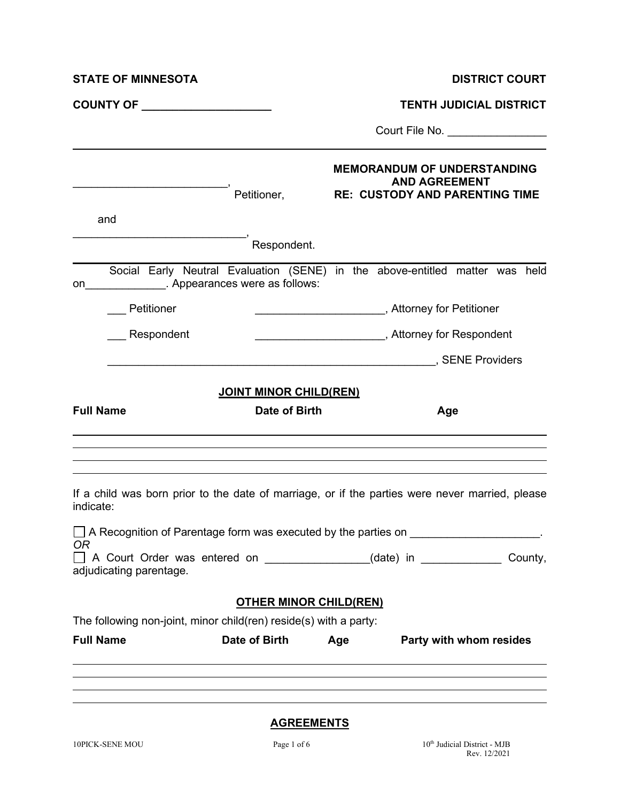| <b>STATE OF MINNESOTA</b>                                                                                                                                                                                                            |                                |     | <b>DISTRICT COURT</b>                                                                               |  |  |  |  |
|--------------------------------------------------------------------------------------------------------------------------------------------------------------------------------------------------------------------------------------|--------------------------------|-----|-----------------------------------------------------------------------------------------------------|--|--|--|--|
| <b>COUNTY OF THE COUNTY OF THE COUNTY OF THE COUNTY OF THE COUNTY OF THE COUNTY OF THE COUNTY OF THE COUNTY OF THE COUNTY OF THE COUNTY OF THE COUNTY OF THE COUNTY OF THE COUNTY OF THE COUNTY OF THE COUNTY OF THE COUNTY OF T</b> |                                |     | <b>TENTH JUDICIAL DISTRICT</b>                                                                      |  |  |  |  |
|                                                                                                                                                                                                                                      |                                |     | Court File No. ________________                                                                     |  |  |  |  |
|                                                                                                                                                                                                                                      | Petitioner,                    |     | <b>MEMORANDUM OF UNDERSTANDING</b><br><b>AND AGREEMENT</b><br><b>RE: CUSTODY AND PARENTING TIME</b> |  |  |  |  |
| and                                                                                                                                                                                                                                  |                                |     |                                                                                                     |  |  |  |  |
|                                                                                                                                                                                                                                      | Respondent.                    |     |                                                                                                     |  |  |  |  |
| on                                                                                                                                                                                                                                   | . Appearances were as follows: |     | Social Early Neutral Evaluation (SENE) in the above-entitled matter was held                        |  |  |  |  |
| Petitioner                                                                                                                                                                                                                           |                                |     | ______________________________, Attorney for Petitioner                                             |  |  |  |  |
| Respondent                                                                                                                                                                                                                           |                                |     | ____________________________, Attorney for Respondent                                               |  |  |  |  |
|                                                                                                                                                                                                                                      |                                |     |                                                                                                     |  |  |  |  |
|                                                                                                                                                                                                                                      | <b>JOINT MINOR CHILD(REN)</b>  |     |                                                                                                     |  |  |  |  |
| <b>Full Name</b>                                                                                                                                                                                                                     | Date of Birth                  |     | Age                                                                                                 |  |  |  |  |
|                                                                                                                                                                                                                                      |                                |     |                                                                                                     |  |  |  |  |
|                                                                                                                                                                                                                                      |                                |     |                                                                                                     |  |  |  |  |
| indicate:                                                                                                                                                                                                                            |                                |     | If a child was born prior to the date of marriage, or if the parties were never married, please     |  |  |  |  |
|                                                                                                                                                                                                                                      |                                |     | □ A Recognition of Parentage form was executed by the parties on ____________________.              |  |  |  |  |
| <b>OR</b><br>A Court Order was entered on ________________(date) in _____________<br>adjudicating parentage.                                                                                                                         |                                |     | County,                                                                                             |  |  |  |  |
|                                                                                                                                                                                                                                      | <b>OTHER MINOR CHILD(REN)</b>  |     |                                                                                                     |  |  |  |  |
| The following non-joint, minor child(ren) reside(s) with a party:                                                                                                                                                                    |                                |     |                                                                                                     |  |  |  |  |
| <b>Full Name</b>                                                                                                                                                                                                                     | Date of Birth                  | Age | Party with whom resides                                                                             |  |  |  |  |
|                                                                                                                                                                                                                                      |                                |     |                                                                                                     |  |  |  |  |
|                                                                                                                                                                                                                                      |                                |     |                                                                                                     |  |  |  |  |

# **AGREEMENTS**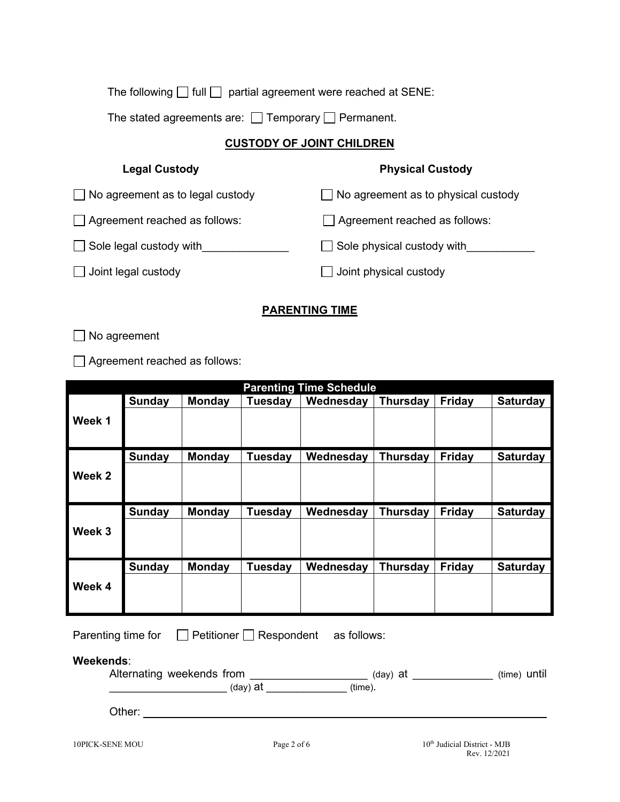The following  $\Box$  full  $\Box$  partial agreement were reached at SENE:

The stated agreements are:  $\Box$  Temporary  $\Box$  Permanent.

## **CUSTODY OF JOINT CHILDREN**

| <b>Legal Custody</b>                    | <b>Physical Custody</b>                    |
|-----------------------------------------|--------------------------------------------|
| $\Box$ No agreement as to legal custody | $\Box$ No agreement as to physical custody |
| $\Box$ Agreement reached as follows:    | $\Box$ Agreement reached as follows:       |
| $\Box$ Sole legal custody with          | $\Box$ Sole physical custody with          |
| $\Box$ Joint legal custody              | $\Box$ Joint physical custody              |
|                                         |                                            |

### **PARENTING TIME**

■ No agreement

□ Agreement reached as follows:

| <b>Parenting Time Schedule</b> |               |               |                |           |                 |               |                 |
|--------------------------------|---------------|---------------|----------------|-----------|-----------------|---------------|-----------------|
|                                | Sunday        | <b>Monday</b> | <b>Tuesday</b> | Wednesday | <b>Thursday</b> | <b>Friday</b> | <b>Saturday</b> |
| Week 1                         |               |               |                |           |                 |               |                 |
|                                | Sunday        | <b>Monday</b> | <b>Tuesday</b> | Wednesday | <b>Thursday</b> | <b>Friday</b> | <b>Saturday</b> |
| Week 2                         |               |               |                |           |                 |               |                 |
|                                | Sunday        | <b>Monday</b> | <b>Tuesday</b> | Wednesday | <b>Thursday</b> | <b>Friday</b> | <b>Saturday</b> |
| Week 3                         |               |               |                |           |                 |               |                 |
|                                | <b>Sunday</b> | <b>Monday</b> | <b>Tuesday</b> | Wednesday | <b>Thursday</b> | <b>Friday</b> | <b>Saturday</b> |
| Week 4                         |               |               |                |           |                 |               |                 |

Parenting time for  $\Box$  Petitioner  $\Box$  Respondent as follows:

### **Weekends**:

| Alternating weekends from | (day) at | (time) until |
|---------------------------|----------|--------------|
| (day) at                  | (time).  |              |

Other: \_\_\_\_\_\_\_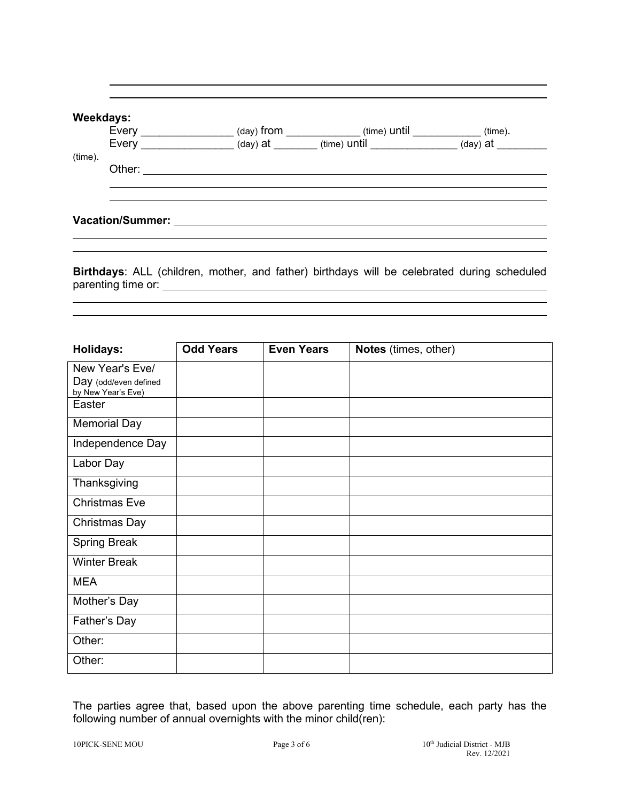| Weekdays: | Every<br>Every          | (day) from<br>$(\text{day})$ at | (time) until<br>(time) until | (time).<br>(day) at |
|-----------|-------------------------|---------------------------------|------------------------------|---------------------|
| (time).   | Other:                  |                                 |                              |                     |
|           | <b>Vacation/Summer:</b> |                                 |                              |                     |

**Birthdays**: ALL (children, mother, and father) birthdays will be celebrated during scheduled parenting time or:

| Holidays:                                   | <b>Odd Years</b> | <b>Even Years</b> | Notes (times, other) |
|---------------------------------------------|------------------|-------------------|----------------------|
| New Year's Eve/                             |                  |                   |                      |
| Day (odd/even defined<br>by New Year's Eve) |                  |                   |                      |
| Easter                                      |                  |                   |                      |
| <b>Memorial Day</b>                         |                  |                   |                      |
| Independence Day                            |                  |                   |                      |
| Labor Day                                   |                  |                   |                      |
| Thanksgiving                                |                  |                   |                      |
| <b>Christmas Eve</b>                        |                  |                   |                      |
| <b>Christmas Day</b>                        |                  |                   |                      |
| <b>Spring Break</b>                         |                  |                   |                      |
| <b>Winter Break</b>                         |                  |                   |                      |
| <b>MEA</b>                                  |                  |                   |                      |
| Mother's Day                                |                  |                   |                      |
| Father's Day                                |                  |                   |                      |
| Other:                                      |                  |                   |                      |
| Other:                                      |                  |                   |                      |

The parties agree that, based upon the above parenting time schedule, each party has the following number of annual overnights with the minor child(ren):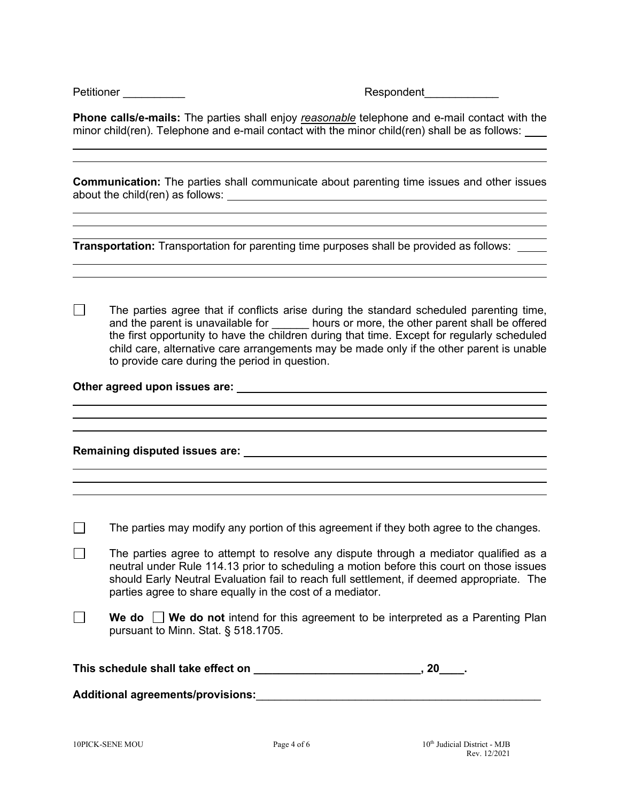$\overline{\phantom{a}}$ 

Petitioner \_\_\_\_\_\_\_\_\_\_ Respondent\_\_\_\_\_\_\_\_\_\_\_\_

 $\overline{a}$ 

 $\overline{\phantom{a}}$ 

**Phone calls/e-mails:** The parties shall enjoy *reasonable* telephone and e-mail contact with the minor child(ren). Telephone and e-mail contact with the minor child(ren) shall be as follows:

**Communication:** The parties shall communicate about parenting time issues and other issues about the child(ren) as follows:

**Transportation:** Transportation for parenting time purposes shall be provided as follows:

 $\Box$ The parties agree that if conflicts arise during the standard scheduled parenting time, and the parent is unavailable for hours or more, the other parent shall be offered the first opportunity to have the children during that time. Except for regularly scheduled child care, alternative care arrangements may be made only if the other parent is unable to provide care during the period in question.

 $\overline{a}$ 

**Other agreed upon issues are:**

**Remaining disputed issues are:**

 $\Box$ The parties may modify any portion of this agreement if they both agree to the changes.

- The parties agree to attempt to resolve any dispute through a mediator qualified as a neutral under Rule 114.13 prior to scheduling a motion before this court on those issues should Early Neutral Evaluation fail to reach full settlement, if deemed appropriate. The parties agree to share equally in the cost of a mediator.
- $\Box$ **We do We do not** intend for this agreement to be interpreted as a Parenting Plan pursuant to Minn. Stat. § 518.1705.

| This schedule shall take effect on |  |  |  |  |
|------------------------------------|--|--|--|--|
|------------------------------------|--|--|--|--|

 $\overline{\phantom{a}}$ 

 $\overline{a}$ 

**Additional agreements/provisions:**\_\_\_\_\_\_\_\_\_\_\_\_\_\_\_\_\_\_\_\_\_\_\_\_\_\_\_\_\_\_\_\_\_\_\_\_\_\_\_\_\_\_\_\_\_\_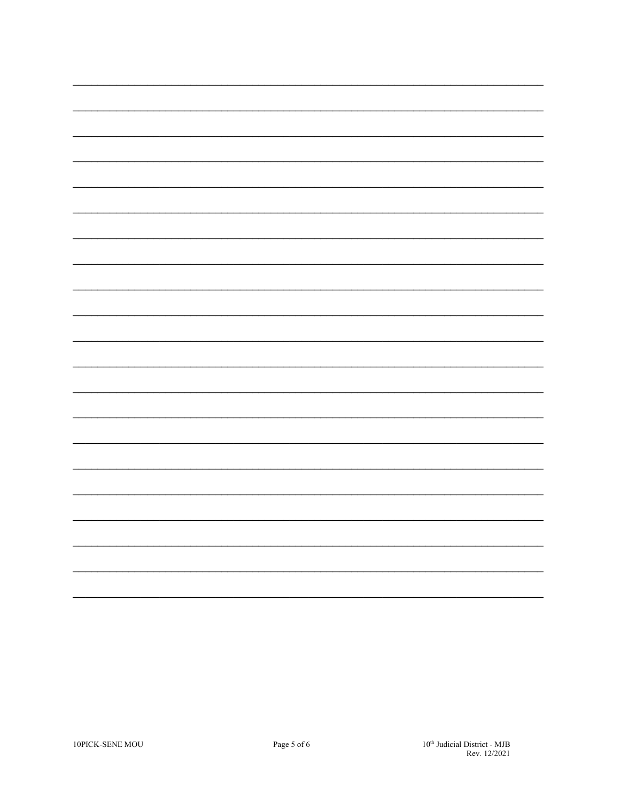